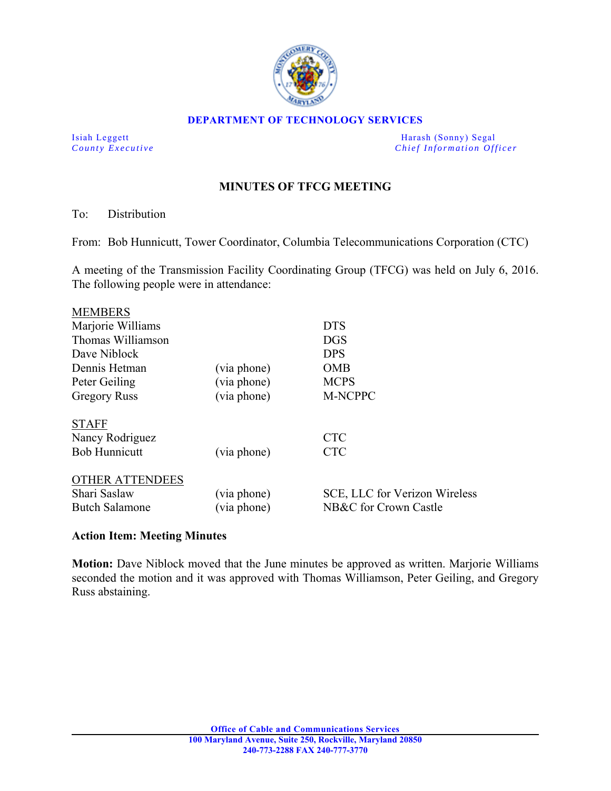

#### **DEPARTMENT OF TECHNOLOGY SERVICES**

Isiah Leggett Harash (Sonny) Segal *County Executive* **County**  $\overline{C}$  *Chief Information Officer* 

# **MINUTES OF TFCG MEETING**

To: Distribution

From: Bob Hunnicutt, Tower Coordinator, Columbia Telecommunications Corporation (CTC)

A meeting of the Transmission Facility Coordinating Group (TFCG) was held on July 6, 2016. The following people were in attendance:

| <b>MEMBERS</b>                                                  |                            |                                                        |
|-----------------------------------------------------------------|----------------------------|--------------------------------------------------------|
| Marjorie Williams                                               |                            | <b>DTS</b>                                             |
| Thomas Williamson                                               |                            | <b>DGS</b>                                             |
| Dave Niblock                                                    |                            | <b>DPS</b>                                             |
| Dennis Hetman                                                   | (via phone)                | <b>OMB</b>                                             |
| Peter Geiling                                                   | (via phone)                | <b>MCPS</b>                                            |
| <b>Gregory Russ</b>                                             | (via phone)                | M-NCPPC                                                |
| <b>STAFF</b><br>Nancy Rodriguez<br><b>Bob Hunnicutt</b>         | (via phone)                | <b>CTC</b><br><b>CTC</b>                               |
| <b>OTHER ATTENDEES</b><br>Shari Saslaw<br><b>Butch Salamone</b> | (via phone)<br>(via phone) | SCE, LLC for Verizon Wireless<br>NB&C for Crown Castle |

### **Action Item: Meeting Minutes**

**Motion:** Dave Niblock moved that the June minutes be approved as written. Marjorie Williams seconded the motion and it was approved with Thomas Williamson, Peter Geiling, and Gregory Russ abstaining.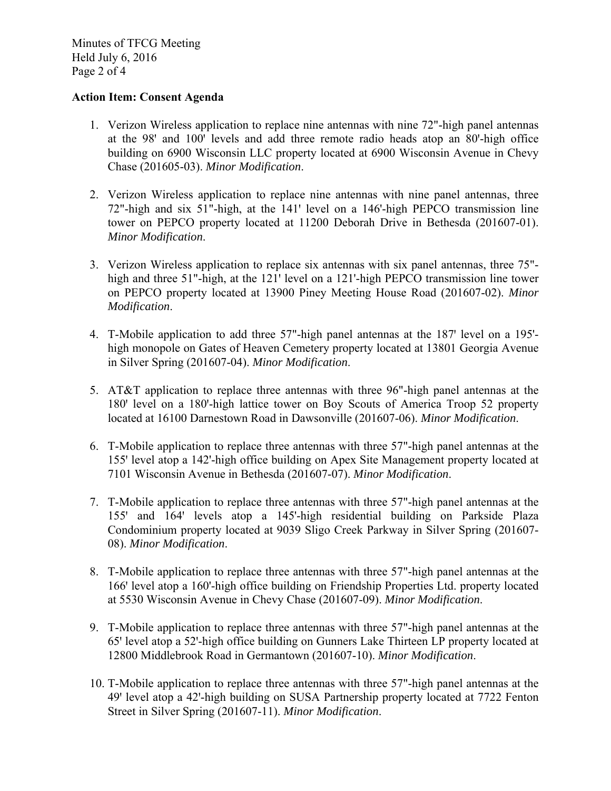Minutes of TFCG Meeting Held July 6, 2016 Page 2 of 4

### **Action Item: Consent Agenda**

- 1. Verizon Wireless application to replace nine antennas with nine 72"-high panel antennas at the  $98'$  and  $100'$  levels and add three remote radio heads atop an  $80'$ -high office building on 6900 Wisconsin LLC property located at 6900 Wisconsin Avenue in Chevy Chase (201605-03). *Minor Modification*.
- 2. Verizon Wireless application to replace nine antennas with nine panel antennas, three 72"-high and six 51"-high, at the 141' level on a 146'-high PEPCO transmission line tower on PEPCO property located at 11200 Deborah Drive in Bethesda (201607-01). *Minor Modification*.
- 3. Verizon Wireless application to replace six antennas with six panel antennas, three 75" high and three 51"-high, at the 121' level on a 121'-high PEPCO transmission line tower on PEPCO property located at 13900 Piney Meeting House Road (201607-02). *Minor Modification*.
- 4. T-Mobile application to add three 57"-high panel antennas at the 187' level on a 195'high monopole on Gates of Heaven Cemetery property located at 13801 Georgia Avenue in Silver Spring (201607-04). *Minor Modification*.
- 5. AT&T application to replace three antennas with three 96"-high panel antennas at the 180' level on a 180'-high lattice tower on Boy Scouts of America Troop 52 property located at 16100 Darnestown Road in Dawsonville (201607-06). *Minor Modification*.
- 6. T-Mobile application to replace three antennas with three 57"-high panel antennas at the 155' level atop a 142'-high office building on Apex Site Management property located at 7101 Wisconsin Avenue in Bethesda (201607-07). *Minor Modification*.
- 7. T-Mobile application to replace three antennas with three 57"-high panel antennas at the 155' and 164' levels atop a 145'-high residential building on Parkside Plaza Condominium property located at 9039 Sligo Creek Parkway in Silver Spring (201607- 08). *Minor Modification*.
- 8. T-Mobile application to replace three antennas with three 57"-high panel antennas at the 166' level atop a 160'-high office building on Friendship Properties Ltd. property located at 5530 Wisconsin Avenue in Chevy Chase (201607-09). *Minor Modification*.
- 9. T-Mobile application to replace three antennas with three 57"-high panel antennas at the 65ꞌ level atop a 52ꞌ-high office building on Gunners Lake Thirteen LP property located at 12800 Middlebrook Road in Germantown (201607-10). *Minor Modification*.
- 10. T-Mobile application to replace three antennas with three 57"-high panel antennas at the 49' level atop a 42'-high building on SUSA Partnership property located at 7722 Fenton Street in Silver Spring (201607-11). *Minor Modification*.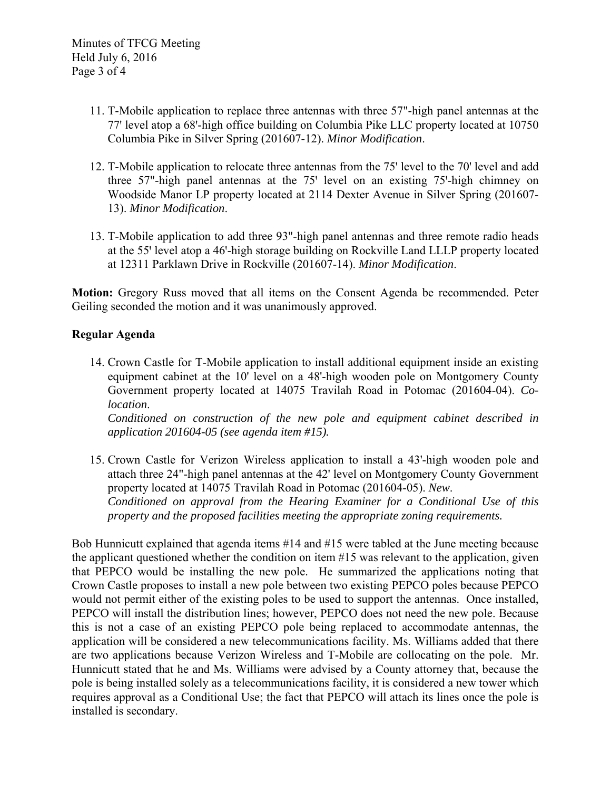- 11. T-Mobile application to replace three antennas with three 57"-high panel antennas at the 77' level atop a 68'-high office building on Columbia Pike LLC property located at 10750 Columbia Pike in Silver Spring (201607-12). *Minor Modification*.
- 12. T-Mobile application to relocate three antennas from the 75' level to the 70' level and add three 57"-high panel antennas at the 75' level on an existing 75'-high chimney on Woodside Manor LP property located at 2114 Dexter Avenue in Silver Spring (201607- 13). *Minor Modification*.
- 13. T-Mobile application to add three 93"-high panel antennas and three remote radio heads at the 55' level atop a 46'-high storage building on Rockville Land LLLP property located at 12311 Parklawn Drive in Rockville (201607-14). *Minor Modification*.

**Motion:** Gregory Russ moved that all items on the Consent Agenda be recommended. Peter Geiling seconded the motion and it was unanimously approved.

## **Regular Agenda**

14. Crown Castle for T-Mobile application to install additional equipment inside an existing equipment cabinet at the 10' level on a 48'-high wooden pole on Montgomery County Government property located at 14075 Travilah Road in Potomac (201604-04). *Colocation*.

*Conditioned on construction of the new pole and equipment cabinet described in application 201604-05 (see agenda item #15).* 

15. Crown Castle for Verizon Wireless application to install a 43'-high wooden pole and attach three 24"-high panel antennas at the 42' level on Montgomery County Government property located at 14075 Travilah Road in Potomac (201604-05). *New*. *Conditioned on approval from the Hearing Examiner for a Conditional Use of this property and the proposed facilities meeting the appropriate zoning requirements.* 

Bob Hunnicutt explained that agenda items #14 and #15 were tabled at the June meeting because the applicant questioned whether the condition on item #15 was relevant to the application, given that PEPCO would be installing the new pole. He summarized the applications noting that Crown Castle proposes to install a new pole between two existing PEPCO poles because PEPCO would not permit either of the existing poles to be used to support the antennas. Once installed, PEPCO will install the distribution lines; however, PEPCO does not need the new pole. Because this is not a case of an existing PEPCO pole being replaced to accommodate antennas, the application will be considered a new telecommunications facility. Ms. Williams added that there are two applications because Verizon Wireless and T-Mobile are collocating on the pole. Mr. Hunnicutt stated that he and Ms. Williams were advised by a County attorney that, because the pole is being installed solely as a telecommunications facility, it is considered a new tower which requires approval as a Conditional Use; the fact that PEPCO will attach its lines once the pole is installed is secondary.